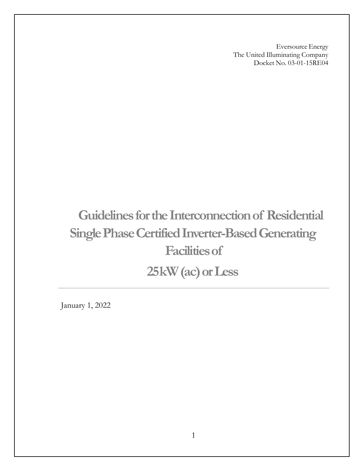Eversource Energy The United Illuminating Company Docket No. 03-01-15RE04

# **Guidelines for the Interconnection of Residential Single Phase Certified Inverter-Based Generating Facilitiesof 25kW(ac)orLess**

January 1, 2022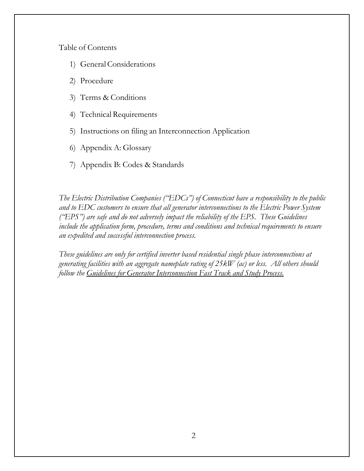Table of Contents

- 1) GeneralConsiderations
- 2) Procedure
- 3) Terms & Conditions
- 4) Technical Requirements
- 5) Instructions on filing an Interconnection Application
- 6) Appendix A: Glossary
- 7) Appendix B: Codes & Standards

*The Electric Distribution Companies ("EDCs") of Connecticut have a responsibility to the public and to EDC customers to ensure that all generator interconnections to the Electric Power System ("EPS") are safe and do not adversely impact the reliability of the EPS. These Guidelines include the application form, procedure, terms and conditions and technical requirements to ensure an expedited and successful interconnection process.*

*These guidelines are only for certified inverter based residential single phase interconnections at generating facilities with an aggregate nameplate rating of 25kW (ac) or less. All others should follow the Guidelines for Generator Interconnection Fast Track and Study Process.*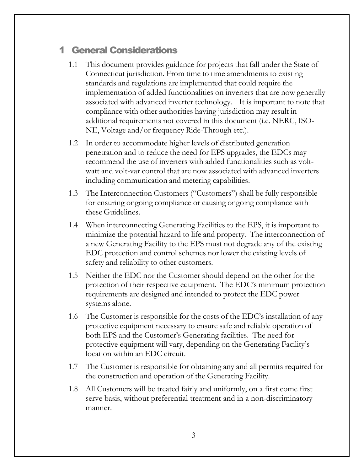### 1 General Considerations

- 1.1 This document provides guidance for projects that fall under the State of Connecticut jurisdiction. From time to time amendments to existing standards and regulations are implemented that could require the implementation of added functionalities on inverters that are now generally associated with advanced inverter technology. It is important to note that compliance with other authorities having jurisdiction may result in additional requirements not covered in this document (i.e. NERC, ISO-NE, Voltage and/or frequency Ride-Through etc.).
- 1.2 In order to accommodate higher levels of distributed generation penetration and to reduce the need for EPS upgrades, the EDCs may recommend the use of inverters with added functionalities such as voltwatt and volt-var control that are now associated with advanced inverters including communication and metering capabilities.
- 1.3 The Interconnection Customers ("Customers") shall be fully responsible for ensuring ongoing compliance or causing ongoing compliance with these Guidelines.
- 1.4 When interconnecting Generating Facilities to the EPS, it is important to minimize the potential hazard to life and property. The interconnection of a new Generating Facility to the EPS must not degrade any of the existing EDC protection and control schemes nor lower the existing levels of safety and reliability to other customers.
- 1.5 Neither the EDC nor the Customer should depend on the other for the protection of their respective equipment. The EDC's minimum protection requirements are designed and intended to protect the EDC power systems alone.
- 1.6 The Customer is responsible for the costs of the EDC's installation of any protective equipment necessary to ensure safe and reliable operation of both EPS and the Customer's Generating facilities. The need for protective equipment will vary, depending on the Generating Facility's location within an EDC circuit.
- 1.7 The Customer is responsible for obtaining any and all permits required for the construction and operation of the Generating Facility.
- 1.8 All Customers will be treated fairly and uniformly, on a first come first serve basis, without preferential treatment and in a non-discriminatory manner.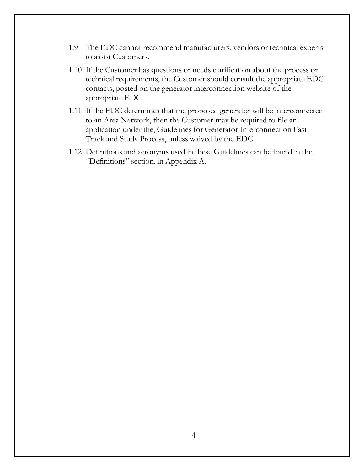- 1.9 The EDC cannot recommend manufacturers, vendors or technical experts to assist Customers.
- 1.10 If the Customer has questions or needs clarification about the process or technical requirements, the Customer should consult the appropriate EDC contacts, posted on the generator interconnection website of the appropriate EDC.
- 1.11 If the EDC determines that the proposed generator will be interconnected to an Area Network, then the Customer may be required to file an application under the, Guidelines for Generator Interconnection Fast Track and Study Process, unless waived by the EDC.
- 1.12 Definitions and acronyms used in these Guidelines can be found in the "Definitions" section, in Appendix A.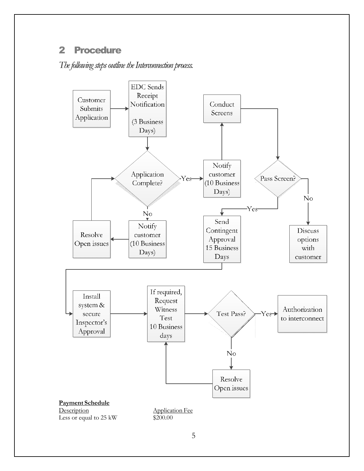### 2 Procedure

The following steps outline the Interconnection process.

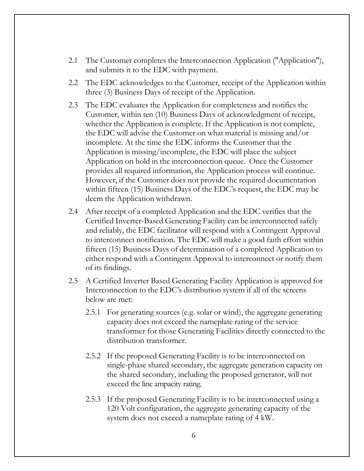- 2.1 The Customer completes the Interconnection Application ("Application"), and submits it to the EDC with payment.
- 2.2 The EDC acknowledges to the Customer, receipt of the Application within three (3) Business Days of receipt of the Application.
- 2.3 The EDC evaluates the Application for completeness and notifies the Customer, within ten (10) Business Days of acknowledgment of receipt, whether the Application is complete. If the Application is not complete, the EDC will advise the Customer on what material is missing and/or incomplete. At the time the EDC informs the Customer that the Application is missing/incomplete, the EDC will place the subject Application on hold in the interconnection queue. Once the Customer provides all required information, the Application process will continue. However, if the Customer does not provide the required documentation within fifteen (15) Business Days of the EDC's request, the EDC may be deem the Application withdrawn.
- 2.4 After receipt of a completed Application and the EDC verifies that the Certified Inverter-Based Generating Facility can be interconnected safely and reliably, the EDC facilitator will respond with a Contingent Approval to interconnect notification. The EDC will make a good faith effort within fifteen (15) Business Days of determination of a completed Application to either respond with a Contingent Approval to interconnect or notify them of its findings.
- 2.5 A Certified Inverter Based Generating Facility Application is approved for Interconnection to the EDC's distribution system if all of the screens below are met:
	- 2.5.1 For generating sources (e.g. solar or wind), the aggregate generating capacity does not exceed the nameplate rating of the service transformer for those Generating Facilities directly connected to the distribution transformer.
	- 2.5.2 If the proposed Generating Facility is to be interconnected on single-phase shared secondary, the aggregate generation capacity on the shared secondary, including the proposed generator, will not exceed the line ampacity rating.
	- 2.5.3 If the proposed Generating Facility is to be interconnected using a 120 Volt configuration, the aggregate generating capacity of the system does not exceed a nameplate rating of 4 kW.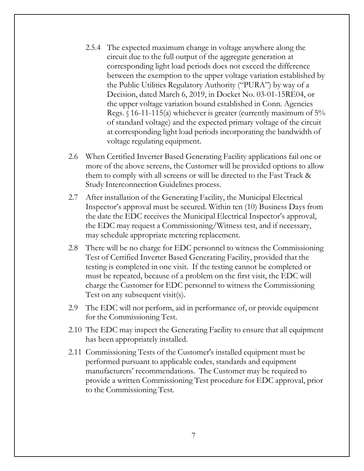- 2.5.4 The expected maximum change in voltage anywhere along the circuit due to the full output of the aggregate generation at corresponding light load periods does not exceed the difference between the exemption to the upper voltage variation established by the Public Utilities Regulatory Authority ("PURA") by way of a Decision, dated March 6, 2019, in Docket No. 03-01-15RE04, or the upper voltage variation bound established in Conn. Agencies Regs.  $\S$  16-11-115(a) whichever is greater (currently maximum of 5% of standard voltage) and the expected primary voltage of the circuit at corresponding light load periods incorporating the bandwidth of voltage regulating equipment.
- 2.6 When Certified Inverter Based Generating Facility applications fail one or more of the above screens, the Customer will be provided options to allow them to comply with all screens or will be directed to the Fast Track & Study Interconnection Guidelines process.
- 2.7 After installation of the Generating Facility, the Municipal Electrical Inspector's approval must be secured. Within ten (10) Business Days from the date the EDC receives the Municipal Electrical Inspector's approval, the EDC may request a Commissioning/Witness test, and if necessary, may schedule appropriate metering replacement.
- 2.8 There will be no charge for EDC personnel to witness the Commissioning Test of Certified Inverter Based Generating Facility, provided that the testing is completed in one visit. If the testing cannot be completed or must be repeated, because of a problem on the first visit, the EDC will charge the Customer for EDC personnel to witness the Commissioning Test on any subsequent visit(s).
- 2.9 The EDC will not perform, aid in performance of, or provide equipment for the Commissioning Test.
- 2.10 The EDC may inspect the Generating Facility to ensure that all equipment has been appropriately installed.
- 2.11 Commissioning Tests of the Customer's installed equipment must be performed pursuant to applicable codes, standards and equipment manufacturers' recommendations. The Customer may be required to provide a written Commissioning Test procedure for EDC approval, prior to the Commissioning Test.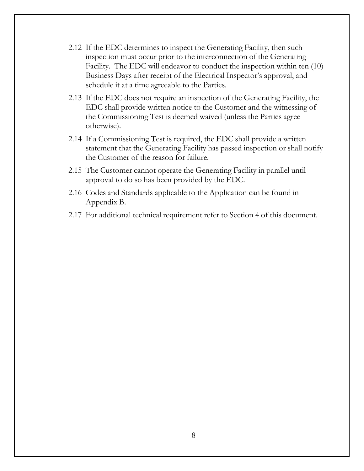- 2.12 If the EDC determines to inspect the Generating Facility, then such inspection must occur prior to the interconnection of the Generating Facility. The EDC will endeavor to conduct the inspection within ten (10) Business Days after receipt of the Electrical Inspector's approval, and schedule it at a time agreeable to the Parties.
- 2.13 If the EDC does not require an inspection of the Generating Facility, the EDC shall provide written notice to the Customer and the witnessing of the Commissioning Test is deemed waived (unless the Parties agree otherwise).
- 2.14 If a Commissioning Test is required, the EDC shall provide a written statement that the Generating Facility has passed inspection or shall notify the Customer of the reason for failure.
- 2.15 The Customer cannot operate the Generating Facility in parallel until approval to do so has been provided by the EDC.
- 2.16 Codes and Standards applicable to the Application can be found in Appendix B.
- 2.17 For additional technical requirement refer to Section 4 of this document.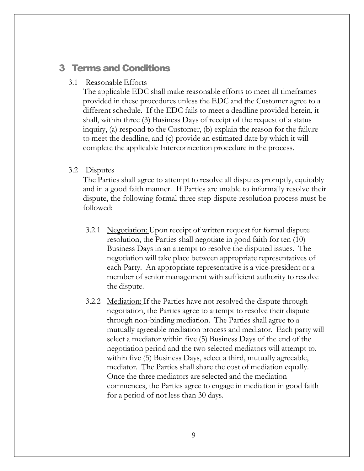### 3 Terms and Conditions

#### 3.1 Reasonable Efforts

The applicable EDC shall make reasonable efforts to meet all timeframes provided in these procedures unless the EDC and the Customer agree to a different schedule. If the EDC fails to meet a deadline provided herein, it shall, within three (3) Business Days of receipt of the request of a status inquiry, (a) respond to the Customer, (b) explain the reason for the failure to meet the deadline, and (c) provide an estimated date by which it will complete the applicable Interconnection procedure in the process.

#### 3.2 Disputes

The Parties shall agree to attempt to resolve all disputes promptly, equitably and in a good faith manner. If Parties are unable to informally resolve their dispute, the following formal three step dispute resolution process must be followed:

- 3.2.1 Negotiation: Upon receipt of written request for formal dispute resolution, the Parties shall negotiate in good faith for ten (10) Business Days in an attempt to resolve the disputed issues. The negotiation will take place between appropriate representatives of each Party. An appropriate representative is a vice-president or a member of senior management with sufficient authority to resolve the dispute.
- 3.2.2 Mediation: If the Parties have not resolved the dispute through negotiation, the Parties agree to attempt to resolve their dispute through non-binding mediation. The Parties shall agree to a mutually agreeable mediation process and mediator. Each party will select a mediator within five (5) Business Days of the end of the negotiation period and the two selected mediators will attempt to, within five (5) Business Days, select a third, mutually agreeable, mediator. The Parties shall share the cost of mediation equally. Once the three mediators are selected and the mediation commences, the Parties agree to engage in mediation in good faith for a period of not less than 30 days.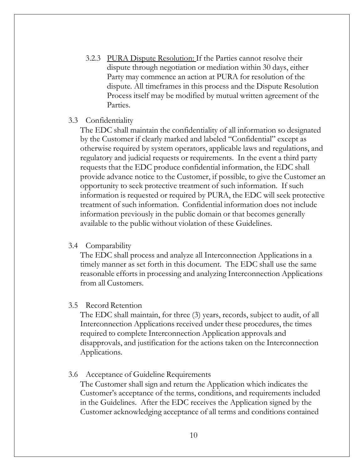3.2.3 PURA Dispute Resolution: If the Parties cannot resolve their dispute through negotiation or mediation within 30 days, either Party may commence an action at PURA for resolution of the dispute. All timeframes in this process and the Dispute Resolution Process itself may be modified by mutual written agreement of the Parties.

#### 3.3 Confidentiality

The EDC shall maintain the confidentiality of all information so designated by the Customer if clearly marked and labeled "Confidential" except as otherwise required by system operators, applicable laws and regulations, and regulatory and judicial requests or requirements. In the event a third party requests that the EDC produce confidential information, the EDC shall provide advance notice to the Customer, if possible, to give the Customer an opportunity to seek protective treatment of such information. If such information is requested or required by PURA, the EDC will seek protective treatment of such information. Confidential information does not include information previously in the public domain or that becomes generally available to the public without violation of these Guidelines.

#### 3.4 Comparability

The EDC shall process and analyze all Interconnection Applications in a timely manner as set forth in this document. The EDC shall use the same reasonable efforts in processing and analyzing Interconnection Applications from all Customers.

#### 3.5 Record Retention

The EDC shall maintain, for three (3) years, records, subject to audit, of all Interconnection Applications received under these procedures, the times required to complete Interconnection Application approvals and disapprovals, and justification for the actions taken on the Interconnection Applications.

#### 3.6 Acceptance of Guideline Requirements

The Customer shall sign and return the Application which indicates the Customer's acceptance of the terms, conditions, and requirements included in the Guidelines. After the EDC receives the Application signed by the Customer acknowledging acceptance of all terms and conditions contained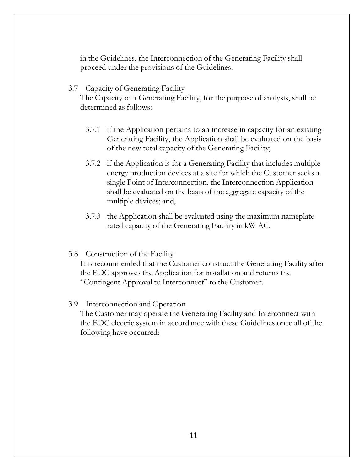in the Guidelines, the Interconnection of the Generating Facility shall proceed under the provisions of the Guidelines.

3.7 Capacity of Generating Facility

The Capacity of a Generating Facility, for the purpose of analysis, shall be determined as follows:

- 3.7.1 if the Application pertains to an increase in capacity for an existing Generating Facility, the Application shall be evaluated on the basis of the new total capacity of the Generating Facility;
- 3.7.2 if the Application is for a Generating Facility that includes multiple energy production devices at a site for which the Customer seeks a single Point of Interconnection, the Interconnection Application shall be evaluated on the basis of the aggregate capacity of the multiple devices; and,
- 3.7.3 the Application shall be evaluated using the maximum nameplate rated capacity of the Generating Facility in kW AC.
- 3.8 Construction of the Facility It is recommended that the Customer construct the Generating Facility after the EDC approves the Application for installation and returns the "Contingent Approval to Interconnect" to the Customer.
- 3.9 Interconnection and Operation

The Customer may operate the Generating Facility and Interconnect with the EDC electric system in accordance with these Guidelines once all of the following have occurred: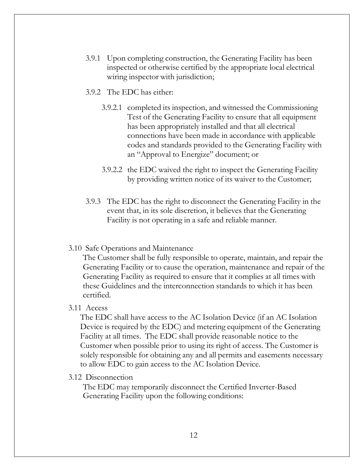- 3.9.1 Upon completing construction, the Generating Facility has been inspected or otherwise certified by the appropriate local electrical wiring inspector with jurisdiction;
- 3.9.2 The EDC has either:
	- 3.9.2.1 completed its inspection, and witnessed the Commissioning Test of the Generating Facility to ensure that all equipment has been appropriately installed and that all electrical connections have been made in accordance with applicable codes and standards provided to the Generating Facility with an "Approval to Energize" document; or
	- 3.9.2.2 the EDC waived the right to inspect the Generating Facility by providing written notice of its waiver to the Customer;
- 3.9.3 The EDC has the right to disconnect the Generating Facility in the event that, in its sole discretion, it believes that the Generating Facility is not operating in a safe and reliable manner.

#### 3.10 Safe Operations and Maintenance

The Customer shall be fully responsible to operate, maintain, and repair the Generating Facility or to cause the operation, maintenance and repair of the Generating Facility as required to ensure that it complies at all times with these Guidelines and the interconnection standards to which it has been certified.

#### 3.11 Access

The EDC shall have access to the AC Isolation Device (if an AC Isolation Device is required by the EDC) and metering equipment of the Generating Facility at all times. The EDC shall provide reasonable notice to the Customer when possible prior to using its right of access. The Customer is solely responsible for obtaining any and all permits and easements necessary to allow EDC to gain access to the AC Isolation Device.

#### 3.12 Disconnection

The EDC may temporarily disconnect the Certified Inverter-Based Generating Facility upon the following conditions: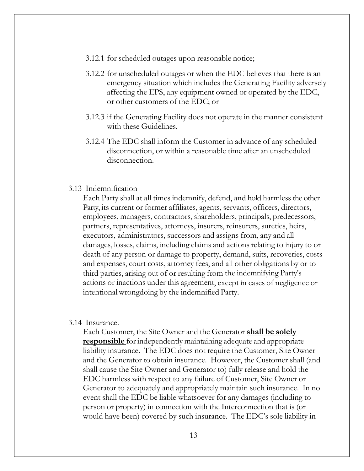- 3.12.1 for scheduled outages upon reasonable notice;
- 3.12.2 for unscheduled outages or when the EDC believes that there is an emergency situation which includes the Generating Facility adversely affecting the EPS, any equipment owned or operated by the EDC, or other customers of the EDC; or
- 3.12.3 if the Generating Facility does not operate in the manner consistent with these Guidelines.
- 3.12.4 The EDC shall inform the Customer in advance of any scheduled disconnection, or within a reasonable time after an unscheduled disconnection.

#### 3.13 Indemnification

Each Party shall at all times indemnify, defend, and hold harmless the other Party, its current or former affiliates, agents, servants, officers, directors, employees, managers, contractors, shareholders, principals, predecessors, partners, representatives, attorneys, insurers, reinsurers, sureties, heirs, executors, administrators, successors and assigns from, any and all damages, losses, claims, including claims and actions relating to injury to or death of any person or damage to property, demand, suits, recoveries, costs and expenses, court costs, attorney fees, and all other obligations by or to third parties, arising out of or resulting from the indemnifying Party's actions or inactions under this agreement, except in cases of negligence or intentionalwrongdoing by the indemnified Party.

#### 3.14 Insurance.

Each Customer, the Site Owner and the Generator **shall be solely <u>responsible</u>** for independently maintaining adequate and appropriate liability insurance. The EDC does not require the Customer, Site Owner and the Generator to obtain insurance. However, the Customer shall (and shall cause the Site Owner and Generator to) fully release and hold the EDC harmless with respect to any failure of Customer, Site Owner or Generator to adequately and appropriately maintain such insurance. In no event shall the EDC be liable whatsoever for any damages (including to person or property) in connection with the Interconnection that is (or would have been) covered by such insurance. The EDC's sole liability in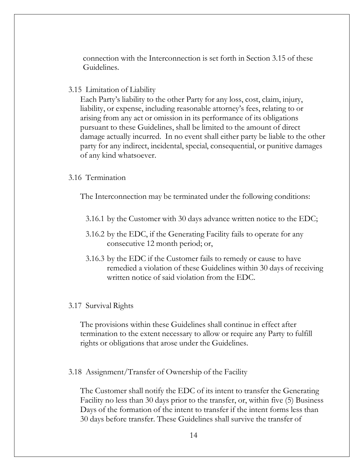connection with the Interconnection is set forth in Section 3.15 of these Guidelines.

3.15 Limitation of Liability

Each Party's liability to the other Party for any loss, cost, claim, injury, liability, or expense, including reasonable attorney's fees, relating to or arising from any act or omission in its performance of its obligations pursuant to these Guidelines, shall be limited to the amount of direct damage actually incurred. In no event shall either party be liable to the other party for any indirect, incidental, special, consequential, or punitive damages of any kind whatsoever.

#### 3.16 Termination

The Interconnection may be terminated under the following conditions:

- 3.16.1 by the Customer with 30 days advance written notice to the EDC;
- 3.16.2 by the EDC, if the Generating Facility fails to operate for any consecutive 12 month period; or,
- 3.16.3 by the EDC if the Customer fails to remedy or cause to have remedied a violation of these Guidelines within 30 days of receiving written notice of said violation from the EDC.

#### 3.17 Survival Rights

The provisions within these Guidelines shall continue in effect after termination to the extent necessary to allow or require any Party to fulfill rights or obligations that arose under the Guidelines.

3.18 Assignment/Transfer of Ownership of the Facility

The Customer shall notify the EDC of its intent to transfer the Generating Facility no less than 30 days prior to the transfer, or, within five (5) Business Days of the formation of the intent to transfer if the intent forms less than 30 days before transfer. These Guidelines shall survive the transfer of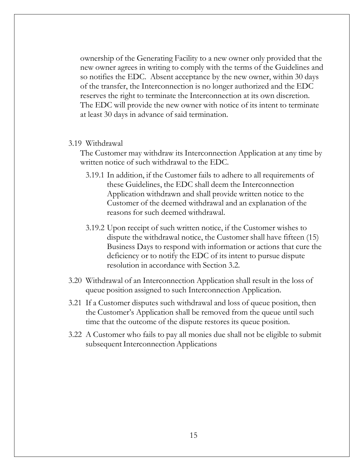ownership of the Generating Facility to a new owner only provided that the new owner agrees in writing to comply with the terms of the Guidelines and so notifies the EDC. Absent acceptance by the new owner, within 30 days of the transfer, the Interconnection is no longer authorized and the EDC reserves the right to terminate the Interconnection at its own discretion. The EDC will provide the new owner with notice of its intent to terminate at least 30 days in advance of said termination.

#### 3.19 Withdrawal

The Customer may withdraw its Interconnection Application at any time by written notice of such withdrawal to the EDC.

- 3.19.1 In addition, if the Customer fails to adhere to all requirements of these Guidelines, the EDC shall deem the Interconnection Application withdrawn and shall provide written notice to the Customer of the deemed withdrawal and an explanation of the reasons for such deemed withdrawal.
- 3.19.2 Upon receipt of such written notice, if the Customer wishes to dispute the withdrawal notice, the Customer shall have fifteen (15) Business Days to respond with information or actions that cure the deficiency or to notify the EDC of its intent to pursue dispute resolution in accordance with Section 3.2.
- 3.20 Withdrawal of an Interconnection Application shall result in the loss of queue position assigned to such Interconnection Application.
- 3.21 If a Customer disputes such withdrawal and loss of queue position, then the Customer's Application shall be removed from the queue until such time that the outcome of the dispute restores its queue position.
- 3.22 A Customer who fails to pay all monies due shall not be eligible to submit subsequent Interconnection Applications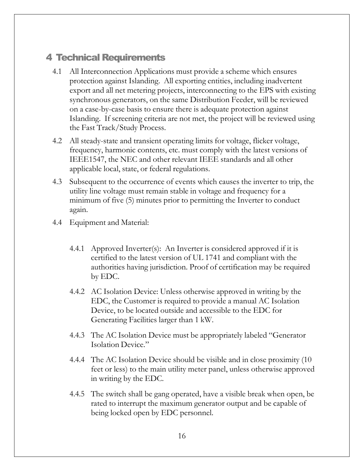### 4 Technical Requirements

- 4.1 All Interconnection Applications must provide a scheme which ensures protection against Islanding. All exporting entities, including inadvertent export and all net metering projects, interconnecting to the EPS with existing synchronous generators, on the same Distribution Feeder, will be reviewed on a case-by-case basis to ensure there is adequate protection against Islanding. If screening criteria are not met, the project will be reviewed using the Fast Track/Study Process.
- 4.2 All steady-state and transient operating limits for voltage, flicker voltage, frequency, harmonic contents, etc. must comply with the latest versions of IEEE1547, the NEC and other relevant IEEE standards and all other applicable local, state, or federal regulations.
- 4.3 Subsequent to the occurrence of events which causes the inverter to trip, the utility line voltage must remain stable in voltage and frequency for a minimum of five (5) minutes prior to permitting the Inverter to conduct again.
- 4.4 Equipment and Material:
	- 4.4.1 Approved Inverter(s): An Inverter is considered approved if it is certified to the latest version of UL 1741 and compliant with the authorities having jurisdiction. Proof of certification may be required by EDC.
	- 4.4.2 AC Isolation Device: Unless otherwise approved in writing by the EDC, the Customer is required to provide a manual AC Isolation Device, to be located outside and accessible to the EDC for Generating Facilities larger than 1 kW.
	- 4.4.3 The AC Isolation Device must be appropriately labeled "Generator Isolation Device."
	- 4.4.4 The AC Isolation Device should be visible and in close proximity (10 feet or less) to the main utility meter panel, unless otherwise approved in writing by the EDC.
	- 4.4.5 The switch shall be gang operated, have a visible break when open, be rated to interrupt the maximum generator output and be capable of being locked open by EDC personnel.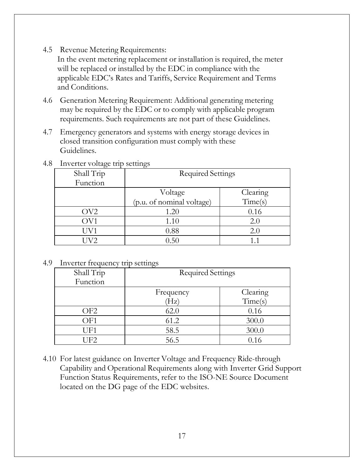4.5 Revenue Metering Requirements:

In the event metering replacement or installation is required, the meter will be replaced or installed by the EDC in compliance with the applicable EDC's Rates and Tariffs, Service Requirement and Terms and Conditions.

- 4.6 Generation Metering Requirement: Additional generating metering may be required by the EDC or to comply with applicable program requirements. Such requirements are not part of these Guidelines.
- 4.7 Emergency generators and systems with energy storage devices in closed transition configuration must comply with these Guidelines.

| 4.8 | Inverter voltage trip settings |  |  |
|-----|--------------------------------|--|--|
|     |                                |  |  |
|     |                                |  |  |

| $\cdot$<br>Shall Trip<br>Function | ◡<br><b>Required Settings</b> |          |  |
|-----------------------------------|-------------------------------|----------|--|
|                                   | Voltage                       | Clearing |  |
|                                   | (p.u. of nominal voltage)     | Time(s)  |  |
| OV <sub>2</sub>                   | 1.20                          | 0.16     |  |
| OV1                               | 1.10                          | 2.0      |  |
| UV1                               | 0.88                          | 2.0      |  |
| V2                                | 0.50                          |          |  |

#### 4.9 Inverter frequency trip settings

| Shall Trip<br>Function | <b>Required Settings</b> |          |
|------------------------|--------------------------|----------|
|                        | Frequency                | Clearing |
|                        | Hz)                      | Time(s)  |
| OF <sub>2</sub>        | 62.0                     | 0.16     |
| OF1                    | 61.2                     | 300.0    |
| UF1                    | 58.5                     | 300.0    |
| UF2                    | 56.5                     | 0.16     |

4.10 For latest guidance on Inverter Voltage and Frequency Ride-through Capability and Operational Requirements along with Inverter Grid Support Function Status Requirements, refer to the ISO-NE Source Document located on the DG page of the EDC websites.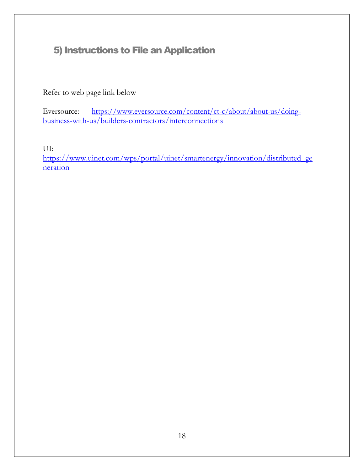### 5) Instructions to File an Application

Refer to web page link below

Eversource: [https://www.eversource.com/content/ct-c/about/about-us/doing](http://www.eversource.com/content/ct-c/about/about-us/doing-)business-with-us/builders-contractors/interconnections

UI:

[https://www.uinet.com/wps/portal/uinet/smartenergy/innovation/distributed\\_ge](https://www.uinet.com/wps/portal/uinet/smartenergy/innovation/distributed_generation/) [neration](https://www.uinet.com/wps/portal/uinet/smartenergy/innovation/distributed_generation/)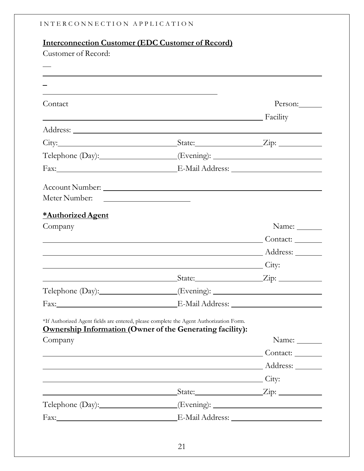|                     | <u>Interconnection Customer (EDC Customer of Record)</u>                                                                                                   |                    |
|---------------------|------------------------------------------------------------------------------------------------------------------------------------------------------------|--------------------|
| Customer of Record: |                                                                                                                                                            |                    |
|                     | ,我们也不会有什么。""我们的人,我们也不会有什么?""我们的人,我们也不会有什么?""我们的人,我们也不会有什么?""我们的人,我们也不会有什么?""我们的人                                                                           |                    |
|                     |                                                                                                                                                            |                    |
| Contact             |                                                                                                                                                            | Person:            |
|                     | <b>Example 1</b> Facility                                                                                                                                  |                    |
|                     |                                                                                                                                                            |                    |
|                     |                                                                                                                                                            |                    |
|                     | Telephone (Day): _________________(Evening): ___________________________________                                                                           |                    |
|                     |                                                                                                                                                            |                    |
|                     |                                                                                                                                                            |                    |
|                     |                                                                                                                                                            |                    |
| *Authorized Agent   |                                                                                                                                                            |                    |
| Company             |                                                                                                                                                            | Name: $\_\_$       |
|                     |                                                                                                                                                            | Contact:           |
|                     |                                                                                                                                                            |                    |
|                     | City:                                                                                                                                                      |                    |
|                     | State:                                                                                                                                                     | Zip:               |
|                     | Telephone (Day): __________________(Evening): __________________________________                                                                           |                    |
|                     |                                                                                                                                                            |                    |
|                     | *If Authorized Agent fields are entered, please complete the Agent Authorization Form.<br><b>Ownership Information (Owner of the Generating facility):</b> |                    |
| Company             |                                                                                                                                                            | Name:              |
|                     | Contact:                                                                                                                                                   |                    |
|                     |                                                                                                                                                            |                    |
|                     | City:                                                                                                                                                      |                    |
|                     |                                                                                                                                                            | State: <u>Zip:</u> |
|                     | Telephone (Day): __________________(Evening): __________________________________                                                                           |                    |
|                     |                                                                                                                                                            |                    |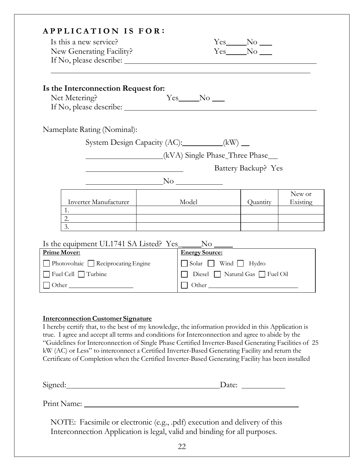| <b>APPLICATION IS FOR:</b><br>Is this a new service?<br>New Generating Facility? |                                                                                                                                                                                                                                      |                                   | $Yes$ No $\_\_$ |                    |  |
|----------------------------------------------------------------------------------|--------------------------------------------------------------------------------------------------------------------------------------------------------------------------------------------------------------------------------------|-----------------------------------|-----------------|--------------------|--|
| Is the Interconnection Request for:<br>Net Metering?                             | $Yes$ No $\Box$                                                                                                                                                                                                                      |                                   |                 |                    |  |
| Nameplate Rating (Nominal):                                                      |                                                                                                                                                                                                                                      |                                   |                 |                    |  |
|                                                                                  | System Design Capacity (AC): _________(kW) __                                                                                                                                                                                        |                                   |                 |                    |  |
|                                                                                  | (kVA) Single Phase_Three Phase_                                                                                                                                                                                                      |                                   |                 |                    |  |
|                                                                                  | Battery Backup? Yes                                                                                                                                                                                                                  |                                   |                 |                    |  |
|                                                                                  | $\sim$ No $\sim$ No $\sim$                                                                                                                                                                                                           |                                   |                 |                    |  |
| 1.                                                                               | Inverter Manufacturer   Model                                                                                                                                                                                                        |                                   | Quantity        | New or<br>Existing |  |
| 2. $\qquad \qquad$<br>3.                                                         | <u> 1980 - Johann Stoff, deutscher Stoffen und der Stoffen und der Stoffen und der Stoffen und der Stoffen und der Stoffen und der Stoffen und der Stoffen und der Stoffen und der Stoffen und der Stoffen und der Stoffen und d</u> |                                   |                 |                    |  |
|                                                                                  |                                                                                                                                                                                                                                      |                                   |                 |                    |  |
| <b>Prime Mover:</b>                                                              | <b>Energy Source:</b>                                                                                                                                                                                                                |                                   |                 |                    |  |
| $\Box$ Photovoltaic $\Box$ Reciprocating Engine                                  |                                                                                                                                                                                                                                      | Solar Wind Hydro                  |                 |                    |  |
| Fuel Cell Turbine                                                                |                                                                                                                                                                                                                                      | □ Diesel □ Natural Gas □ Fuel Oil |                 |                    |  |
|                                                                                  |                                                                                                                                                                                                                                      |                                   |                 |                    |  |

#### **Interconnection Customer Signature**

I hereby certify that, to the best of my knowledge, the information provided in this Application is true. I agree and accept all terms and conditions for Interconnection and agree to abide by the "Guidelines for Interconnection of Single Phase Certified Inverter-Based Generating Facilities of 25 kW (AC) or Less" to interconnect a Certified Inverter-Based Generating Facility and return the Certificate of Completion when the Certified Inverter-Based Generating Facility has been installed

| $\bigcap$ .<br>.<br>Stonec<br>$\sim$ | $\sim$<br>·acc. |
|--------------------------------------|-----------------|
| ∼                                    |                 |

Print Name:

NOTE: Facsimile or electronic (e.g., .pdf) execution and delivery of this Interconnection Application is legal, valid and binding for all purposes.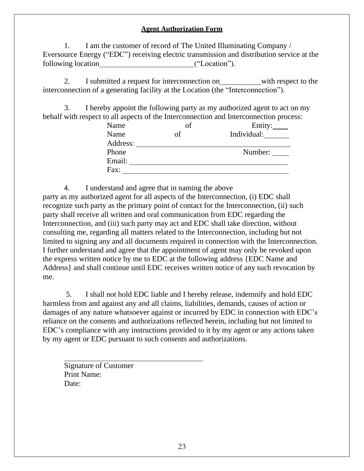#### **Agent Authorization Form**

1. I am the customer of record of The United Illuminating Company / Eversource Energy ("EDC") receiving electric transmission and distribution service at the following location ("Location").

2. I submitted a request for interconnection on with respect to the interconnection of a generating facility at the Location (the "Interconnection").

3. I hereby appoint the following party as my authorized agent to act on my behalf with respect to all aspects of the Interconnection and Interconnection process:

| Name     | of | Entity:     |
|----------|----|-------------|
| Name     | of | Individual: |
| Address: |    |             |
| Phone    |    | Number:     |
| Email:   |    |             |
| Fax:     |    |             |

4. I understand and agree that in naming the above

party as my authorized agent for all aspects of the Interconnection, (i) EDC shall recognize such party as the primary point of contact for the Interconnection, (ii) such party shall receive all written and oral communication from EDC regarding the Interconnection, and (iii) such party may act and EDC shall take direction, without consulting me, regarding all matters related to the Interconnection, including but not limited to signing any and all documents required in connection with the Interconnection. I further understand and agree that the appointment of agent may only be revoked upon the express written notice by me to EDC at the following address {EDC Name and Address} and shall continue until EDC receives written notice of any such revocation by me.

5. I shall not hold EDC liable and I hereby release, indemnify and hold EDC harmless from and against any and all claims, liabilities, demands, causes of action or damages of any nature whatsoever against or incurred by EDC in connection with EDC's reliance on the consents and authorizations reflected herein, including but not limited to EDC's compliance with any instructions provided to it by my agent or any actions taken by my agent or EDC pursuant to such consents and authorizations.

Signature of Customer Print Name: Date: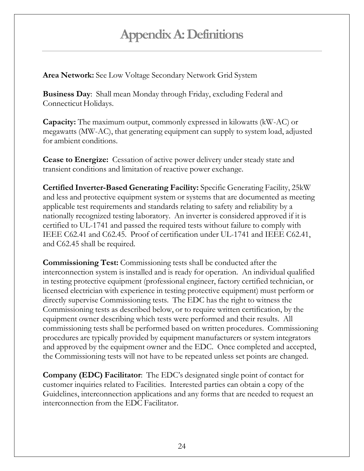# **AppendixA:Definitions**

**Area Network:** See Low Voltage Secondary Network Grid System

**Business Day**: Shall mean Monday through Friday, excluding Federal and Connecticut Holidays.

**Capacity:** The maximum output, commonly expressed in kilowatts (kW-AC) or megawatts (MW-AC), that generating equipment can supply to system load, adjusted for ambient conditions.

**Cease to Energize:** Cessation of active power delivery under steady state and transient conditions and limitation of reactive power exchange.

**Certified Inverter-Based Generating Facility:** Specific Generating Facility, 25kW and less and protective equipment system or systems that are documented as meeting applicable test requirements and standards relating to safety and reliability by a nationally recognized testing laboratory. An inverter is considered approved if it is certified to UL-1741 and passed the required tests without failure to comply with IEEE C62.41 and C62.45. Proof of certification under UL-1741 and IEEE C62.41, and C62.45 shall be required.

**Commissioning Test:** Commissioning tests shall be conducted after the interconnection system is installed and is ready for operation. An individual qualified in testing protective equipment (professional engineer, factory certified technician, or licensed electrician with experience in testing protective equipment) must perform or directly supervise Commissioning tests. The EDC has the right to witness the Commissioning tests as described below, or to require written certification, by the equipment owner describing which tests were performed and their results. All commissioning tests shall be performed based on written procedures. Commissioning procedures are typically provided by equipment manufacturers or system integrators and approved by the equipment owner and the EDC. Once completed and accepted, the Commissioning tests will not have to be repeated unless set points are changed.

**Company (EDC) Facilitator**: The EDC's designated single point of contact for customer inquiries related to Facilities. Interested parties can obtain a copy of the Guidelines, interconnection applications and any forms that are needed to request an interconnection from the EDC Facilitator.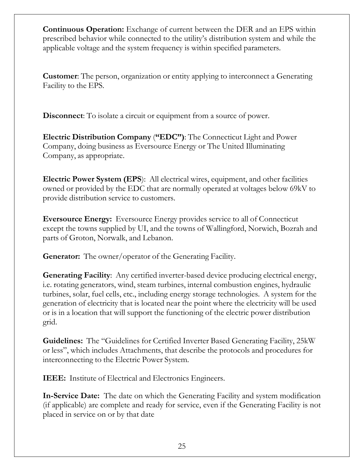**Continuous Operation:** Exchange of current between the DER and an EPS within prescribed behavior while connected to the utility's distribution system and while the applicable voltage and the system frequency is within specified parameters.

**Customer**: The person, organization or entity applying to interconnect a Generating Facility to the EPS.

**Disconnect**: To isolate a circuit or equipment from a source of power.

**Electric Distribution Company** (**"EDC")**: The Connecticut Light and Power Company, doing business as Eversource Energy or The United Illuminating Company, as appropriate.

**Electric Power System (EPS**): All electrical wires, equipment, and other facilities owned or provided by the EDC that are normally operated at voltages below 69kV to provide distribution service to customers.

**Eversource Energy:** Eversource Energy provides service to all of Connecticut except the towns supplied by UI, and the towns of Wallingford, Norwich, Bozrah and parts of Groton, Norwalk, and Lebanon.

**Generator:** The owner/operator of the Generating Facility.

**Generating Facility**: Any certified inverter-based device producing electrical energy, i.e. rotating generators, wind, steam turbines, internal combustion engines, hydraulic turbines, solar, fuel cells, etc., including energy storage technologies. A system for the generation of electricity that is located near the point where the electricity will be used or is in a location that will support the functioning of the electric power distribution grid.

**Guidelines:** The "Guidelines for Certified Inverter Based Generating Facility, 25kW or less", which includes Attachments, that describe the protocols and procedures for interconnecting to the Electric Power System.

**IEEE:** Institute of Electrical and Electronics Engineers.

**In-Service Date:** The date on which the Generating Facility and system modification (if applicable) are complete and ready for service, even if the Generating Facility is not placed in service on or by that date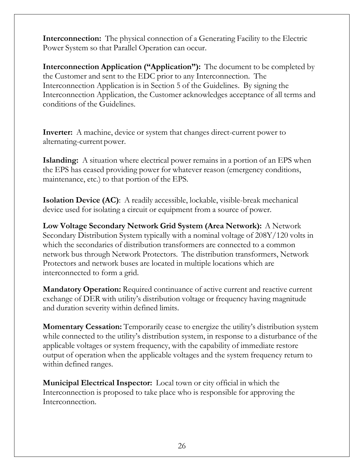**Interconnection:** The physical connection of a Generating Facility to the Electric Power System so that Parallel Operation can occur.

**Interconnection Application ("Application"):** The document to be completed by the Customer and sent to the EDC prior to any Interconnection. The Interconnection Application is in Section 5 of the Guidelines. By signing the Interconnection Application, the Customer acknowledges acceptance of all terms and conditions of the Guidelines.

**Inverter:** A machine, device or system that changes direct-current power to alternating-current power.

**Islanding:** A situation where electrical power remains in a portion of an EPS when the EPS has ceased providing power for whatever reason (emergency conditions, maintenance, etc.) to that portion of the EPS.

**Isolation Device (AC)**: A readily accessible, lockable, visible-break mechanical device used for isolating a circuit or equipment from a source of power.

**Low Voltage Secondary Network Grid System (Area Network):** A Network Secondary Distribution System typically with a nominal voltage of 208Y/120 volts in which the secondaries of distribution transformers are connected to a common network bus through Network Protectors. The distribution transformers, Network Protectors and network buses are located in multiple locations which are interconnected to form a grid.

**Mandatory Operation:** Required continuance of active current and reactive current exchange of DER with utility's distribution voltage or frequency having magnitude and duration severity within defined limits.

**Momentary Cessation:** Temporarily cease to energize the utility's distribution system while connected to the utility's distribution system, in response to a disturbance of the applicable voltages or system frequency, with the capability of immediate restore output of operation when the applicable voltages and the system frequency return to within defined ranges.

**Municipal Electrical Inspector:** Local town or city official in which the Interconnection is proposed to take place who is responsible for approving the Interconnection.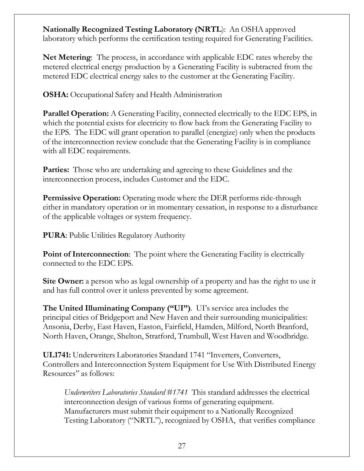**Nationally Recognized Testing Laboratory (NRTL**): An OSHA approved laboratory which performs the certification testing required for Generating Facilities.

**Net Metering**: The process, in accordance with applicable EDC rates whereby the metered electrical energy production by a Generating Facility is subtracted from the metered EDC electrical energy sales to the customer at the Generating Facility.

**OSHA:** Occupational Safety and Health Administration

**Parallel Operation:** A Generating Facility, connected electrically to the EDC EPS, in which the potential exists for electricity to flow back from the Generating Facility to the EPS. The EDC will grant operation to parallel (energize) only when the products of the interconnection review conclude that the Generating Facility is in compliance with all EDC requirements.

**Parties:** Those who are undertaking and agreeing to these Guidelines and the interconnection process, includes Customer and the EDC.

**Permissive Operation:** Operating mode where the DER performs ride-through either in mandatory operation or in momentary cessation, in response to a disturbance of the applicable voltages or system frequency.

**PURA**: Public Utilities Regulatory Authority

**Point of Interconnection:** The point where the Generating Facility is electrically connected to the EDC EPS.

**Site Owner:** a person who as legal ownership of a property and has the right to use it and has full control over it unless prevented by some agreement.

**The United Illuminating Company ("UI")**. UI's service area includes the principal cities of Bridgeport and New Haven and their surrounding municipalities: Ansonia, Derby, East Haven, Easton, Fairfield, Hamden, Milford, North Branford, North Haven, Orange, Shelton, Stratford, Trumbull, West Haven and Woodbridge.

**UL1741:** Underwriters Laboratories Standard 1741 "Inverters, Converters, Controllers and Interconnection System Equipment for Use With Distributed Energy Resources" as follows:

*Underwriters Laboratories Standard #1741* This standard addresses the electrical interconnection design of various forms of generating equipment. Manufacturers must submit their equipment to a Nationally Recognized Testing Laboratory ("NRTL"), recognized by OSHA, that verifies compliance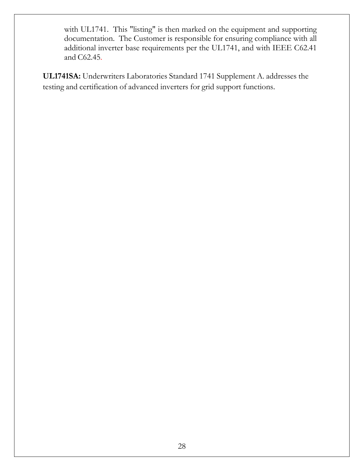with UL1741. This "listing" is then marked on the equipment and supporting documentation. The Customer is responsible for ensuring compliance with all additional inverter base requirements per the UL1741, and with IEEE C62.41 and C62.45.

**UL1741SA:** Underwriters Laboratories Standard 1741 Supplement A. addresses the testing and certification of advanced inverters for grid support functions.